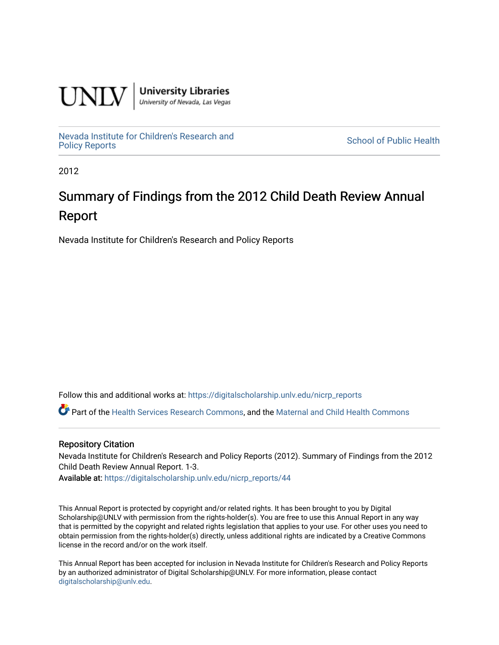

**University Libraries**<br>University of Nevada, Las Vegas

[Nevada Institute for Children's Research and](https://digitalscholarship.unlv.edu/nicrp_reports)

**School of Public Health** 

2012

# Summary of Findings from the 2012 Child Death Review Annual Report

Nevada Institute for Children's Research and Policy Reports

Follow this and additional works at: [https://digitalscholarship.unlv.edu/nicrp\\_reports](https://digitalscholarship.unlv.edu/nicrp_reports?utm_source=digitalscholarship.unlv.edu%2Fnicrp_reports%2F44&utm_medium=PDF&utm_campaign=PDFCoverPages)

Part of the [Health Services Research Commons,](http://network.bepress.com/hgg/discipline/816?utm_source=digitalscholarship.unlv.edu%2Fnicrp_reports%2F44&utm_medium=PDF&utm_campaign=PDFCoverPages) and the [Maternal and Child Health Commons](http://network.bepress.com/hgg/discipline/745?utm_source=digitalscholarship.unlv.edu%2Fnicrp_reports%2F44&utm_medium=PDF&utm_campaign=PDFCoverPages) 

#### Repository Citation

Nevada Institute for Children's Research and Policy Reports (2012). Summary of Findings from the 2012 Child Death Review Annual Report. 1-3.

Available at: [https://digitalscholarship.unlv.edu/nicrp\\_reports/44](https://digitalscholarship.unlv.edu/nicrp_reports/44) 

This Annual Report is protected by copyright and/or related rights. It has been brought to you by Digital Scholarship@UNLV with permission from the rights-holder(s). You are free to use this Annual Report in any way that is permitted by the copyright and related rights legislation that applies to your use. For other uses you need to obtain permission from the rights-holder(s) directly, unless additional rights are indicated by a Creative Commons license in the record and/or on the work itself.

This Annual Report has been accepted for inclusion in Nevada Institute for Children's Research and Policy Reports by an authorized administrator of Digital Scholarship@UNLV. For more information, please contact [digitalscholarship@unlv.edu](mailto:digitalscholarship@unlv.edu).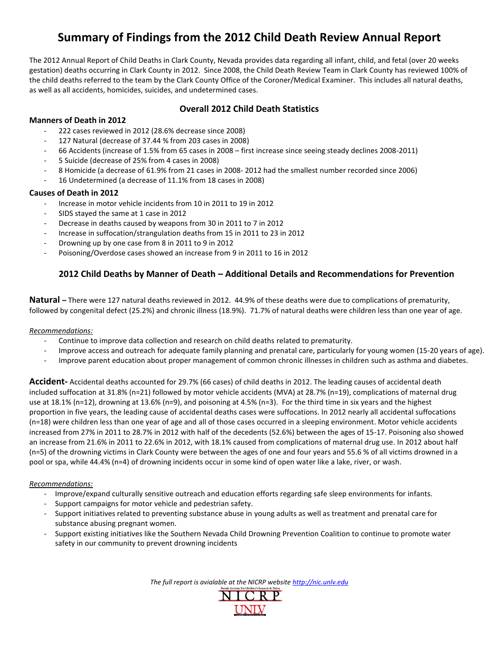# **Summary of Findings from the 2012 Child Death Review Annual Report**

The 2012 Annual Report of Child Deaths in Clark County, Nevada provides data regarding all infant, child, and fetal (over 20 weeks gestation) deaths occurring in Clark County in 2012. Since 2008, the Child Death Review Team in Clark County has reviewed 100% of the child deaths referred to the team by the Clark County Office of the Coroner/Medical Examiner. This includes all natural deaths, as well as all accidents, homicides, suicides, and undetermined cases.

## **Overall 2012 Child Death Statistics**

#### **Manners of Death in 2012**

- 222 cases reviewed in 2012 (28.6% decrease since 2008)
- 127 Natural (decrease of 37.44 % from 203 cases in 2008)
- 66 Accidents (increase of 1.5% from 65 cases in 2008 first increase since seeing steady declines 2008-2011)
- 5 Suicide (decrease of 25% from 4 cases in 2008)
- 8 Homicide (a decrease of 61.9% from 21 cases in 2008- 2012 had the smallest number recorded since 2006)
- 16 Undetermined (a decrease of 11.1% from 18 cases in 2008)

#### **Causes of Death in 2012**

- Increase in motor vehicle incidents from 10 in 2011 to 19 in 2012
- SIDS stayed the same at 1 case in 2012
- Decrease in deaths caused by weapons from 30 in 2011 to 7 in 2012
- Increase in suffocation/strangulation deaths from 15 in 2011 to 23 in 2012
- Drowning up by one case from 8 in 2011 to 9 in 2012
- Poisoning/Overdose cases showed an increase from 9 in 2011 to 16 in 2012

### **2012 Child Deaths by Manner of Death – Additional Details and Recommendations for Prevention**

**Natural –** There were 127 natural deaths reviewed in 2012. 44.9% of these deaths were due to complications of prematurity, followed by congenital defect (25.2%) and chronic illness (18.9%). 71.7% of natural deaths were children less than one year of age.

#### *Recommendations:*

- Continue to improve data collection and research on child deaths related to prematurity.
- Improve access and outreach for adequate family planning and prenatal care, particularly for young women (15-20 years of age).
- Improve parent education about proper management of common chronic illnesses in children such as asthma and diabetes.

**Accident-** Accidental deaths accounted for 29.7% (66 cases) of child deaths in 2012. The leading causes of accidental death included suffocation at 31.8% (n=21) followed by motor vehicle accidents (MVA) at 28.7% (n=19), complications of maternal drug use at 18.1% (n=12), drowning at 13.6% (n=9), and poisoning at 4.5% (n=3). For the third time in six years and the highest proportion in five years, the leading cause of accidental deaths cases were suffocations. In 2012 nearly all accidental suffocations (n=18) were children less than one year of age and all of those cases occurred in a sleeping environment. Motor vehicle accidents increased from 27% in 2011 to 28.7% in 2012 with half of the decedents (52.6%) between the ages of 15-17. Poisoning also showed an increase from 21.6% in 2011 to 22.6% in 2012, with 18.1% caused from complications of maternal drug use. In 2012 about half (n=5) of the drowning victims in Clark County were between the ages of one and four years and 55.6 % of all victims drowned in a pool or spa, while 44.4% (n=4) of drowning incidents occur in some kind of open water like a lake, river, or wash.

#### *Recommendations:*

- Improve/expand culturally sensitive outreach and education efforts regarding safe sleep environments for infants.
- Support campaigns for motor vehicle and pedestrian safety.
- Support initiatives related to preventing substance abuse in young adults as well as treatment and prenatal care for substance abusing pregnant women.
- Support existing initiatives like the Southern Nevada Child Drowning Prevention Coalition to continue to promote water safety in our community to prevent drowning incidents

*The full report is avialable at the NICRP website http://nic.unlv.edu*

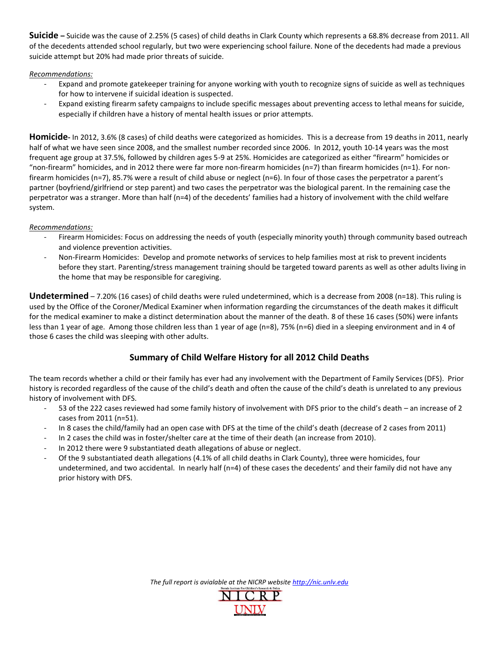**Suicide –** Suicide was the cause of 2.25% (5 cases) of child deaths in Clark County which represents a 68.8% decrease from 2011. All of the decedents attended school regularly, but two were experiencing school failure. None of the decedents had made a previous suicide attempt but 20% had made prior threats of suicide.

#### *Recommendations:*

- Expand and promote gatekeeper training for anyone working with youth to recognize signs of suicide as well as techniques for how to intervene if suicidal ideation is suspected.
- Expand existing firearm safety campaigns to include specific messages about preventing access to lethal means for suicide, especially if children have a history of mental health issues or prior attempts.

**Homicide-** In 2012, 3.6% (8 cases) of child deaths were categorized as homicides. This is a decrease from 19 deaths in 2011, nearly half of what we have seen since 2008, and the smallest number recorded since 2006. In 2012, youth 10-14 years was the most frequent age group at 37.5%, followed by children ages 5-9 at 25%. Homicides are categorized as either "firearm" homicides or "non-firearm" homicides, and in 2012 there were far more non-firearm homicides (n=7) than firearm homicides (n=1). For nonfirearm homicides (n=7), 85.7% were a result of child abuse or neglect (n=6). In four of those cases the perpetrator a parent's partner (boyfriend/girlfriend or step parent) and two cases the perpetrator was the biological parent. In the remaining case the perpetrator was a stranger. More than half (n=4) of the decedents' families had a history of involvement with the child welfare system.

#### *Recommendations:*

- Firearm Homicides: Focus on addressing the needs of youth (especially minority youth) through community based outreach and violence prevention activities.
- Non-Firearm Homicides: Develop and promote networks of services to help families most at risk to prevent incidents before they start. Parenting/stress management training should be targeted toward parents as well as other adults living in the home that may be responsible for caregiving.

**Undetermined** – 7.20% (16 cases) of child deaths were ruled undetermined, which is a decrease from 2008 (n=18). This ruling is used by the Office of the Coroner/Medical Examiner when information regarding the circumstances of the death makes it difficult for the medical examiner to make a distinct determination about the manner of the death. 8 of these 16 cases (50%) were infants less than 1 year of age. Among those children less than 1 year of age (n=8), 75% (n=6) died in a sleeping environment and in 4 of those 6 cases the child was sleeping with other adults.

# **Summary of Child Welfare History for all 2012 Child Deaths**

The team records whether a child or their family has ever had any involvement with the Department of Family Services (DFS). Prior history is recorded regardless of the cause of the child's death and often the cause of the child's death is unrelated to any previous history of involvement with DFS.

- 53 of the 222 cases reviewed had some family history of involvement with DFS prior to the child's death an increase of 2 cases from 2011 (n=51).
- In 8 cases the child/family had an open case with DFS at the time of the child's death (decrease of 2 cases from 2011)
- In 2 cases the child was in foster/shelter care at the time of their death (an increase from 2010).
- In 2012 there were 9 substantiated death allegations of abuse or neglect.
- Of the 9 substantiated death allegations (4.1% of all child deaths in Clark County), three were homicides, four undetermined, and two accidental. In nearly half (n=4) of these cases the decedents' and their family did not have any prior history with DFS.

*The full report is avialable at the NICRP website http://nic.unlv.edu*